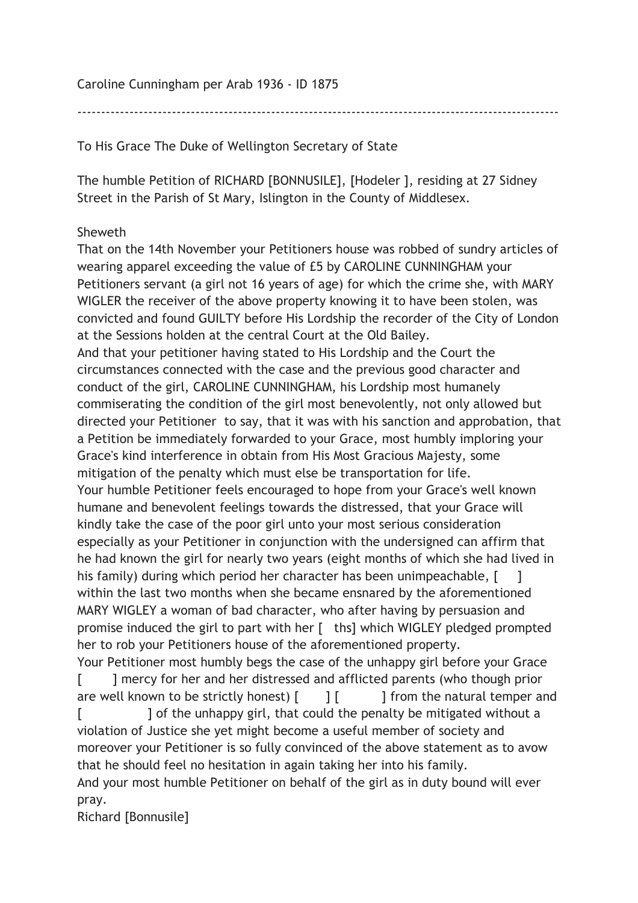Caroline Cunningham per Arab 1936 - ID 1875

------------------------------------------------------------------------------------------------------

To His Grace The Duke of Wellington Secretary of State

The humble Petition of RICHARD [BONNUSILE], [Hodeler ], residing at 27 Sidney Street in the Parish of St Mary, Islington in the County of Middlesex.

## Sheweth

That on the 14th November your Petitioners house was robbed of sundry articles of wearing apparel exceeding the value of £5 by CAROLINE CUNNINGHAM your Petitioners servant (a girl not 16 years of age) for which the crime she, with MARY WIGLER the receiver of the above property knowing it to have been stolen, was convicted and found GUILTY before His Lordship the recorder of the City of London at the Sessions holden at the central Court at the Old Bailey. And that your petitioner having stated to His Lordship and the Court the circumstances connected with the case and the previous good character and conduct of the girl, CAROLINE CUNNINGHAM, his Lordship most humanely commiserating the condition of the girl most benevolently, not only allowed but directed your Petitioner to say, that it was with his sanction and approbation, that a Petition be immediately forwarded to your Grace, most humbly imploring your Grace's kind interference in obtain from His Most Gracious Majesty, some mitigation of the penalty which must else be transportation for life. Your humble Petitioner feels encouraged to hope from your Grace's well known humane and benevolent feelings towards the distressed, that your Grace will kindly take the case of the poor girl unto your most serious consideration especially as your Petitioner in conjunction with the undersigned can affirm that he had known the girl for nearly two years (eight months of which she had lived in his family) during which period her character has been unimpeachable,  $\begin{bmatrix} 1 \\ 1 \end{bmatrix}$ within the last two months when she became ensnared by the aforementioned MARY WIGLEY a woman of bad character, who after having by persuasion and promise induced the girl to part with her [ ths] which WIGLEY pledged prompted her to rob your Petitioners house of the aforementioned property. Your Petitioner most humbly begs the case of the unhappy girl before your Grace [ ] mercy for her and her distressed and afflicted parents (who though prior are well known to be strictly honest)  $\begin{bmatrix} 1 & 1 \end{bmatrix}$  from the natural temper and

[  $\blacksquare$  ] of the unhappy girl, that could the penalty be mitigated without a violation of Justice she yet might become a useful member of society and moreover your Petitioner is so fully convinced of the above statement as to avow that he should feel no hesitation in again taking her into his family.

And your most humble Petitioner on behalf of the girl as in duty bound will ever pray.

Richard [Bonnusile]